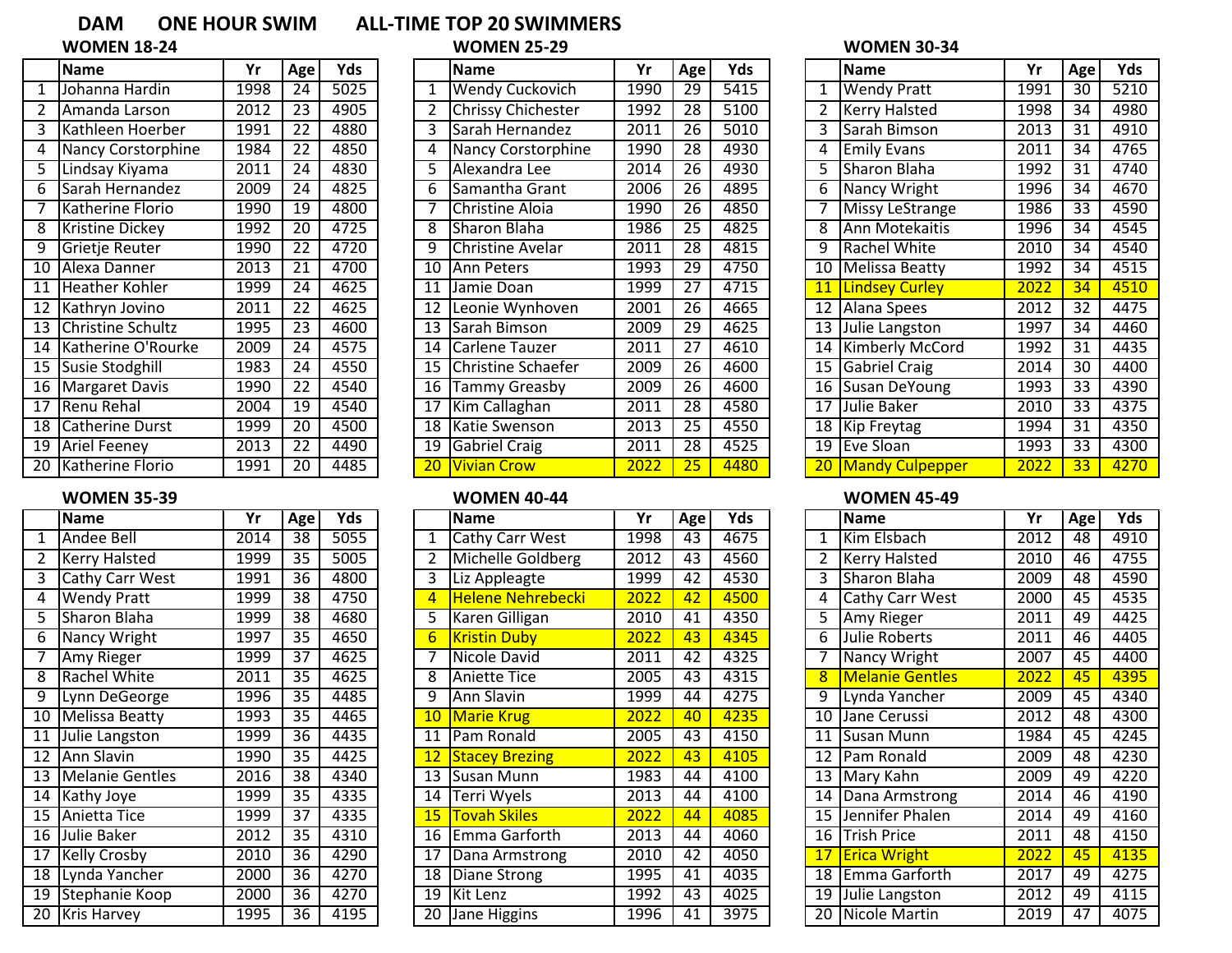|                 | <b>Name</b>              | Yr                | Age             | Yds                |
|-----------------|--------------------------|-------------------|-----------------|--------------------|
| 1               | Johanna Hardin           | 1998              | 24              | $\overline{50}$ 25 |
| 2               | Amanda Larson            | 2012              | $\overline{23}$ | 4905               |
| 3               | Kathleen Hoerber         | 1991              | $\overline{22}$ | 4880               |
| 4               | Nancy Corstorphine       | 1984              | 22              | 4850               |
| 5               | Lindsay Kiyama           | 2011              | 24              | 4830               |
| 6               | Sarah Hernandez          | 2009              | $\overline{24}$ | 4825               |
| 7               | Katherine Florio         | 1990              | $\overline{19}$ | 4800               |
| 8               | Kristine Dickey          | $199\overline{2}$ | $\overline{2}0$ | $\overline{47}$ 25 |
| 9               | Grietje Reuter           | 1990              | 22              | 4720               |
| 10              | Alexa Danner             | 2013              | 21              | 4700               |
| 11              | <b>Heather Kohler</b>    | 1999              | 24              | 4625               |
| $\overline{12}$ | Kathryn Jovino           | 2011              | 22              | 4625               |
| $\overline{13}$ | <b>Christine Schultz</b> | 1995              | $\overline{23}$ | 4600               |
| $\overline{14}$ | Katherine O'Rourke       | 2009              | 24              | 4575               |
| $\overline{15}$ | Susie Stodghill          | 1983              | 24              | 4550               |
| 16              | <b>Margaret Davis</b>    | 1990              | $\overline{22}$ | 4540               |
| 17              | Renu Rehal               | 2004              | 19              | 4540               |
| $\overline{18}$ | <b>Catherine Durst</b>   | 1999              | $\overline{20}$ | 4500               |
| $\overline{19}$ | <b>Ariel Feeney</b>      | 2013              | 22              | 4490               |
| $\overline{20}$ | Katherine Florio         | 1991              | $\overline{20}$ | 4485               |

# **WOMEN 35-39 WOMEN 40-44 WOMEN 45-49**

|                 | <b>Name</b>            | Yr   | Age             | Yds  |
|-----------------|------------------------|------|-----------------|------|
| 1               | Andee Bell             | 2014 | 38              | 5055 |
| $\overline{2}$  | <b>Kerry Halsted</b>   | 1999 | $\overline{35}$ | 5005 |
| З               | <b>Cathy Carr West</b> | 1991 | $\overline{36}$ | 4800 |
| 4               | <b>Wendy Pratt</b>     | 1999 | 38              | 4750 |
| 5               | Sharon Blaha           | 1999 | 38              | 4680 |
| 6               | Nancy Wright           | 1997 | 35              | 4650 |
| 7               | Amy Rieger             | 1999 | 37              | 4625 |
| 8               | <b>Rachel White</b>    | 2011 | $\overline{35}$ | 4625 |
| 9               | Lynn DeGeorge          | 1996 | 35              | 4485 |
| $\overline{10}$ | <b>Melissa Beatty</b>  | 1993 | $\overline{35}$ | 4465 |
| $\overline{11}$ | Julie Langston         | 1999 | 36              | 4435 |
| $\overline{12}$ | <b>Ann Slavin</b>      | 1990 | 35              | 4425 |
| $\overline{13}$ | <b>Melanie Gentles</b> | 2016 | $\overline{38}$ | 4340 |
| $\overline{14}$ | Kathy Joye             | 1999 | 35              | 4335 |
| $\overline{15}$ | Anietta Tice           | 1999 | $\overline{37}$ | 4335 |
| 16              | Julie Baker            | 2012 | $\overline{35}$ | 4310 |
| $\overline{17}$ | <b>Kelly Crosby</b>    | 2010 | $\overline{36}$ | 4290 |
| $\overline{18}$ | Lynda Yancher          | 2000 | 36              | 4270 |
| 19              | Stephanie Koop         | 2000 | 36              | 4270 |
| 20              | <b>Kris Harvey</b>     | 1995 | 36              | 4195 |

# DAM ONE HOUR SWIM ALL-TIME TOP 20 SWIMMERS<br>WOMEN 18-24 WOMEN 25-29

|                 | Name                   | Yr   | Age | Yds  |    | Name                      | Yr   | Age             | Yds  |    | <b>Name</b>           | Yr   | Age             | Yds  |
|-----------------|------------------------|------|-----|------|----|---------------------------|------|-----------------|------|----|-----------------------|------|-----------------|------|
|                 | Johanna Hardin         | 1998 | 24  | 5025 |    | <b>Wendy Cuckovich</b>    | 1990 | 29              | 5415 |    | <b>Wendy Pratt</b>    | 1991 | 30              | 5210 |
|                 | Amanda Larson          | 2012 | 23  | 4905 |    | <b>Chrissy Chichester</b> | 1992 | 28              | 5100 |    | <b>Kerry Halsted</b>  | 1998 | $\overline{34}$ | 4980 |
|                 | Kathleen Hoerber       | 1991 | 22  | 4880 |    | Sarah Hernandez           | 2011 | 26              | 5010 |    | Sarah Bimson          | 2013 | 31              | 4910 |
|                 | Nancy Corstorphine     | 1984 | 22  | 4850 |    | Nancy Corstorphine        | 1990 | 28              | 4930 |    | <b>Emily Evans</b>    | 2011 | 34              | 4765 |
| 5               | Lindsay Kiyama         | 2011 | 24  | 4830 |    | Alexandra Lee             | 2014 | 26              | 4930 |    | Sharon Blaha          | 1992 | 31              | 4740 |
| 6               | Sarah Hernandez        | 2009 | 24  | 4825 | 6  | Samantha Grant            | 2006 | 26              | 4895 | 6. | Nancy Wright          | 1996 | 34              | 4670 |
|                 | Katherine Florio       | 1990 | 19  | 4800 |    | <b>Christine Aloia</b>    | 1990 | 26              | 4850 |    | Missy LeStrange       | 1986 | 33              | 4590 |
| 8               | <b>Kristine Dickey</b> | 1992 | 20  | 4725 |    | Sharon Blaha              | 1986 | $\overline{25}$ | 4825 |    | Ann Motekaitis        | 1996 | $\overline{34}$ | 4545 |
| 9               | Grietje Reuter         | 1990 | 22  | 4720 | 9  | Christine Avelar          | 2011 | 28              | 4815 | 9. | Rachel White          | 2010 | 34              | 4540 |
| 10              | Alexa Danner           | 2013 | 21  | 4700 | 10 | Ann Peters                | 1993 | 29              | 4750 | 10 | Melissa Beatty        | 1992 | 34              | 4515 |
| 11              | Heather Kohler         | 1999 | 24  | 4625 | 11 | Jamie Doan                | 1999 | 27              | 4715 | 11 | <b>Lindsey Curley</b> | 2022 | 34              | 4510 |
| 12              | Kathryn Jovino         | 2011 | 22  | 4625 | 12 | Leonie Wynhoven           | 2001 | $\overline{26}$ | 4665 |    | 12 Alana Spees        | 2012 | $\overline{32}$ | 4475 |
| $\overline{13}$ | Christine Schultz      | 1995 | 23  | 4600 | 13 | Sarah Bimson              | 2009 | 29              | 4625 |    | 13 Julie Langston     | 1997 | 34              | 4460 |
| 14              | Katherine O'Rourke     | 2009 | 24  | 4575 | 14 | Carlene Tauzer            | 2011 | 27              | 4610 |    | 14 Kimberly McCord    | 1992 | 31              | 4435 |
| $\overline{15}$ | Susie Stodghill        | 1983 | 24  | 4550 | 15 | Christine Schaefer        | 2009 | $\overline{26}$ | 4600 |    | 15 Gabriel Craig      | 2014 | 30              | 4400 |
| 16              | Margaret Davis         | 1990 | 22  | 4540 | 16 | Tammy Greasby             | 2009 | $\overline{26}$ | 4600 |    | 16 Susan DeYoung      | 1993 | $\overline{33}$ | 4390 |
| 17              | Renu Rehal             | 2004 | 19  | 4540 |    | Kim Callaghan             | 2011 | 28              | 4580 | 17 | Julie Baker           | 2010 | 33              | 4375 |
| 18              | Catherine Durst        | 1999 | 20  | 4500 | 18 | Katie Swenson             | 2013 | $\overline{25}$ | 4550 |    | 18 Kip Freytag        | 1994 | 31              | 4350 |
| 19              | Ariel Feeney           | 2013 | 22  | 4490 | 19 | <b>Gabriel Craig</b>      | 2011 | 28              | 4525 |    | 19 Eve Sloan          | 1993 | 33              | 4300 |
| $\overline{20}$ | Katherine Florio       | 1991 | 20  | 4485 | 20 | <b>Vivian Crow</b>        | 2022 | 25              | 4480 |    | 20 Mandy Culpepper    | 2022 | $\overline{33}$ | 4270 |

|                 | Name                 | Yr   | Age             | Yds  |    | <b>Name</b>              | Yr   | Age | Yds  |                 | <b>Name</b>            | Yr   | Age | Yds  |
|-----------------|----------------------|------|-----------------|------|----|--------------------------|------|-----|------|-----------------|------------------------|------|-----|------|
|                 | Andee Bell           | 2014 | 38              | 5055 |    | Cathy Carr West          | 1998 | 43  | 4675 |                 | Kim Elsbach            | 2012 | 48  | 4910 |
|                 | <b>Kerry Halsted</b> | 1999 | 35              | 5005 |    | Michelle Goldberg        | 2012 | 43  | 4560 |                 | <b>Kerry Halsted</b>   | 2010 | 46  | 4755 |
|                 | Cathy Carr West      | 1991 | 36              | 4800 |    | Liz Appleagte            | 1999 | 42  | 4530 |                 | Sharon Blaha           | 2009 | 48  | 4590 |
| 4               | <b>Wendy Pratt</b>   | 1999 | 38              | 4750 |    | <b>Helene Nehrebecki</b> | 2022 | 42  | 4500 |                 | <b>Cathy Carr West</b> | 2000 | 45  | 4535 |
| 5               | Sharon Blaha         | 1999 | 38              | 4680 |    | Karen Gilligan           | 2010 | 41  | 4350 |                 | 5 Amy Rieger           | 2011 | 49  | 4425 |
| 6               | Nancy Wright         | 1997 | 35              | 4650 |    | <b>Kristin Duby</b>      | 2022 | 43  | 4345 | 6.              | Julie Roberts          | 2011 | 46  | 4405 |
|                 | Amy Rieger           | 1999 | 37              | 4625 |    | Nicole David             | 2011 | 42  | 4325 |                 | Nancy Wright           | 2007 | 45  | 4400 |
| 8               | Rachel White         | 2011 | 35              | 4625 |    | Aniette Tice             | 2005 | 43  | 4315 | 8               | <b>Melanie Gentles</b> | 2022 | 45  | 4395 |
| 9               | Lynn DeGeorge        | 1996 | 35              | 4485 | 9  | Ann Slavin               | 1999 | 44  | 4275 | 9.              | Lynda Yancher          | 2009 | 45  | 4340 |
| $\overline{10}$ | Melissa Beatty       | 1993 | $\overline{35}$ | 4465 | 10 | <b>Marie Krug</b>        | 2022 | 40  | 4235 | 10 l            | Jane Cerussi           | 2012 | 48  | 4300 |
| 11              | Julie Langston       | 1999 | 36              | 4435 |    | Pam Ronald               | 2005 | 43  | 4150 | 11 I            | Susan Munn             | 1984 | 45  | 4245 |
| $\overline{12}$ | Ann Slavin           | 1990 | 35              | 4425 |    | <b>Stacey Brezing</b>    | 2022 | 43  | 4105 |                 | 12 IPam Ronald         | 2009 | 48  | 4230 |
| 13              | Melanie Gentles      | 2016 | 38              | 4340 | 13 | <b>I</b> Susan Munn      | 1983 | 44  | 4100 |                 | 13 Mary Kahn           | 2009 | 49  | 4220 |
| 14              | Kathy Joye           | 1999 | 35              | 4335 | 14 | Terri Wyels              | 2013 | 44  | 4100 |                 | 14 Dana Armstrong      | 2014 | 46  | 4190 |
| 15              | <b>IAnietta Tice</b> | 1999 | 37              | 4335 |    | <b>Tovah Skiles</b>      | 2022 | 44  | 4085 | 15 <sub>1</sub> | Jennifer Phalen        | 2014 | 49  | 4160 |
|                 | 16 Julie Baker       | 2012 | 35              | 4310 | 16 | Emma Garforth            | 2013 | 44  | 4060 | 16 l            | lTrish Price           | 2011 | 48  | 4150 |
| 17              | <b>Kelly Crosby</b>  | 2010 | 36              | 4290 | 17 | Dana Armstrong           | 2010 | 42  | 4050 |                 | <b>Erica Wright</b>    | 2022 | 45  | 4135 |
|                 | 18 Lynda Yancher     | 2000 | 36              | 4270 |    | 18 Diane Strong          | 1995 | 41  | 4035 |                 | 18   Emma Garforth     | 2017 | 49  | 4275 |
| 19              | Stephanie Koop       | 2000 | 36              | 4270 | 19 | <b>TKit Lenz</b>         | 1992 | 43  | 4025 |                 | 19 Julie Langston      | 2012 | 49  | 4115 |
| 20              | <b>Kris Harvey</b>   | 1995 | 36              | 4195 | 20 | <b>Tane Higgins</b>      | 1996 | 41  | 3975 |                 | 20 Nicole Martin       | 2019 | 47  | 4075 |
|                 |                      |      |                 |      |    |                          |      |     |      |                 |                        |      |     |      |

# **WOMEN 18-24 WOMEN 25-29 WOMEN 30-34**

|                 | <b>Name</b>            | Yr   | Age             | Yds  |
|-----------------|------------------------|------|-----------------|------|
| $\mathbf{1}$    | <b>Wendy Pratt</b>     | 1991 | 30              | 5210 |
| 2               | <b>Kerry Halsted</b>   | 1998 | 34              | 4980 |
| 3               | Sarah Bimson           | 2013 | 31              | 4910 |
| 4               | <b>Emily Evans</b>     | 2011 | 34              | 4765 |
| 5               | <b>Sharon Blaha</b>    | 1992 | 31              | 4740 |
| 6               | <b>Nancy Wright</b>    | 1996 | 34              | 4670 |
| 7               | <b>Missy LeStrange</b> | 1986 | $\overline{33}$ | 4590 |
| 8               | <b>Ann Motekaitis</b>  | 1996 | 34              | 4545 |
| 9               | Rachel White           | 2010 | 34              | 4540 |
| 10              | Melissa Beatty         | 1992 | 34              | 4515 |
| 11              | <b>Lindsey Curley</b>  | 2022 | 34              | 4510 |
| $\overline{12}$ | Alana Spees            | 2012 | 32              | 4475 |
| $\overline{13}$ | Julie Langston         | 1997 | 34              | 4460 |
| $\overline{14}$ | <b>Kimberly McCord</b> | 1992 | 31              | 4435 |
| $\overline{15}$ | <b>Gabriel Craig</b>   | 2014 | 30              | 4400 |
| 16              | Susan DeYoung          | 1993 | 33              | 4390 |
| 17              | Julie Baker            | 2010 | 33              | 4375 |
| 18              | <b>Kip Freytag</b>     | 1994 | 31              | 4350 |
| $\overline{19}$ | <b>Eve Sloan</b>       | 1993 | 33              | 4300 |
| <u>20</u>       | <b>Mandy Culpepper</b> | 2022 | 33              | 4270 |

|                 | <b>Name</b>            | Yr   | Age             | Yds               |
|-----------------|------------------------|------|-----------------|-------------------|
| $\mathbf{1}$    | Kim Elsbach            | 2012 | 48              | $\overline{49}10$ |
| $\overline{2}$  | <b>Kerry Halsted</b>   | 2010 | 46              | 4755              |
| 3               | Sharon Blaha           | 2009 | 48              | 4590              |
| 4               | <b>Cathy Carr West</b> | 2000 | 45              | 4535              |
| 5               | <b>Amy Rieger</b>      | 2011 | 49              | 4425              |
| 6               | <b>Julie Roberts</b>   | 2011 | 46              | 4405              |
| 7               | Nancy Wright           | 2007 | 45              | 4400              |
| 8               | <b>Melanie Gentles</b> | 2022 | 45              | 4395              |
| 9               | Lynda Yancher          | 2009 | 45              | 4340              |
| $\overline{10}$ | Jane Cerussi           | 2012 | 48              | 4300              |
| 11              | Susan Munn             | 1984 | 45              | 4245              |
| 12              | Pam Ronald             | 2009 | $\overline{48}$ | 4230              |
| 13              | Mary Kahn              | 2009 | 49              | 4220              |
| 14              | Dana Armstrong         | 2014 | 46              | 4190              |
| $\overline{1}5$ | Jennifer Phalen        | 2014 | 49              | 4160              |
| 16              | <b>Trish Price</b>     | 2011 | 48              | 4150              |
| 17              | <b>Erica Wright</b>    | 2022 | 45              | 4135              |
| $\overline{18}$ | Emma Garforth          | 2017 | 49              | 4275              |
| 19              | Julie Langston         | 2012 | 49              | 4115              |
| 20              | Nicole Martin          | 2019 | 47              | 4075              |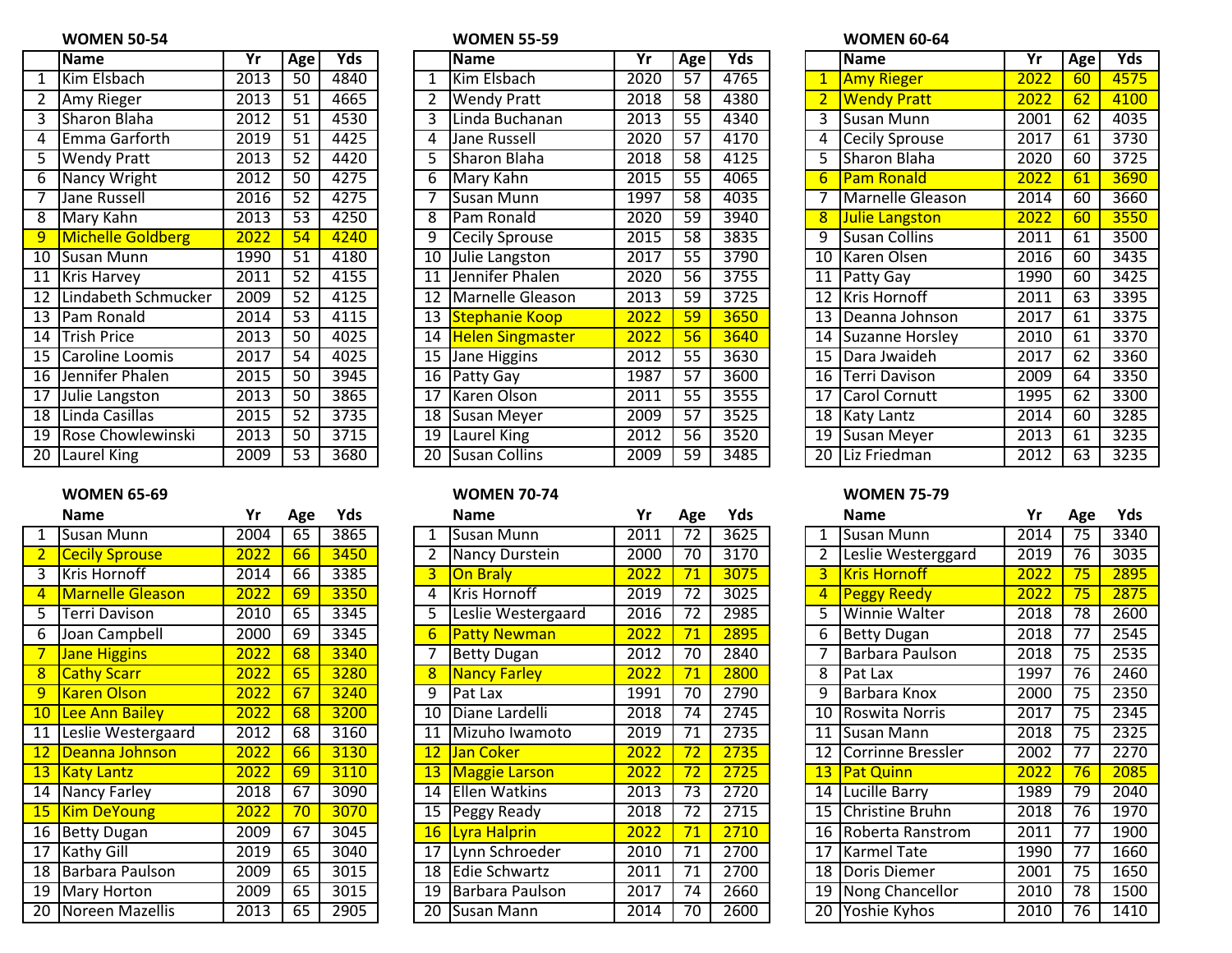## **WOMEN 50-54 WOMEN 55-59 WOMEN 60-64**

|                 | <b>Name</b>              | Yr   | Age             | Yds  |
|-----------------|--------------------------|------|-----------------|------|
| 1               | Kim Elsbach              | 2013 | $\overline{50}$ | 4840 |
| $\overline{2}$  | Amy Rieger               | 2013 | $\overline{51}$ | 4665 |
| З               | <b>Sharon Blaha</b>      | 2012 | $\overline{51}$ | 4530 |
| 4               | Emma Garforth            | 2019 | $\overline{51}$ | 4425 |
| 5               | <b>Wendy Pratt</b>       | 2013 | $\overline{52}$ | 4420 |
| 6               | Nancy Wright             | 2012 | 50              | 4275 |
| 7               | <b>Jane Russell</b>      | 2016 | 52              | 4275 |
| 8               | Mary Kahn                | 2013 | $\overline{53}$ | 4250 |
| 9               | <b>Michelle Goldberg</b> | 2022 | 54              | 4240 |
| $\overline{10}$ | <b>Susan Munn</b>        | 1990 | $\overline{51}$ | 4180 |
| $\overline{11}$ | <b>Kris Harvey</b>       | 2011 | $\overline{52}$ | 4155 |
| $\overline{12}$ | Lindabeth Schmucker      | 2009 | $\overline{52}$ | 4125 |
| $\overline{13}$ | Pam Ronald               | 2014 | $\overline{53}$ | 4115 |
| $\overline{14}$ | <b>Trish Price</b>       | 2013 | $\overline{50}$ | 4025 |
| $\overline{15}$ | Caroline Loomis          | 2017 | $\overline{54}$ | 4025 |
| 16              | Jennifer Phalen          | 2015 | 50              | 3945 |
| $\overline{17}$ | Julie Langston           | 2013 | 50              | 3865 |
| $\overline{18}$ | Linda Casillas           | 2015 | $\overline{52}$ | 3735 |
| 19              | Rose Chowlewinski        | 2013 | 50              | 3715 |
| 20              | Laurel King              | 2009 | 53              | 3680 |

|                 | <b>Name</b>              | Yr   | Age             | Yds  |    | <b>Name</b>          | Yr   | Age             | Yds  |                 | <b>Name</b>          | Yr   | Age | Yds  |
|-----------------|--------------------------|------|-----------------|------|----|----------------------|------|-----------------|------|-----------------|----------------------|------|-----|------|
|                 | Kim Elsbach              | 2013 | 50              | 4840 |    | Kim Elsbach          | 2020 | $\overline{57}$ | 4765 |                 | <b>Amy Rieger</b>    | 2022 | 60  | 4575 |
|                 | Amy Rieger               | 2013 | 51              | 4665 |    | <b>Wendy Pratt</b>   | 2018 | 58              | 4380 |                 | <b>Wendy Pratt</b>   | 2022 | 62  | 4100 |
| 3               | <b>Sharon Blaha</b>      | 2012 | 51              | 4530 |    | Linda Buchanan       | 2013 | $\overline{55}$ | 4340 |                 | Susan Munn           | 2001 | 62  | 4035 |
| 4               | Emma Garforth            | 2019 | 51              | 4425 |    | Jane Russell         | 2020 | 57              | 4170 |                 | 4 Cecily Sprouse     | 2017 | 61  | 3730 |
|                 | <b>Wendy Pratt</b>       | 2013 | $\overline{52}$ | 4420 |    | Sharon Blaha         | 2018 | $\overline{58}$ | 4125 |                 | Sharon Blaha         | 2020 | 60  | 3725 |
| 6               | Nancy Wright             | 2012 | 50              | 4275 | 6  | Mary Kahn            | 2015 | 55              | 4065 | 6.              | <b>Pam Ronald</b>    | 2022 | 61  | 3690 |
|                 | Jane Russell             | 2016 | 52              | 4275 |    | Susan Munn           | 1997 | 58              | 4035 |                 | Marnelle Gleason     | 2014 | 60  | 3660 |
| 8               | Mary Kahn                | 2013 | 53              | 4250 | 8  | <b>IPam Ronald</b>   | 2020 | 59              | 3940 |                 | 8 Julie Langston     | 2022 | 60  | 3550 |
| $\overline{9}$  | <b>Michelle Goldberg</b> | 2022 | 54              | 4240 | 9  | Cecily Sprouse       | 2015 | 58              | 3835 | 9               | <b>Susan Collins</b> | 2011 | 61  | 3500 |
| $\overline{10}$ | <b>ISusan Munn</b>       | 1990 | 51              | 4180 | 10 | Julie Langston       | 2017 | 55              | 3790 |                 | 10 Karen Olsen       | 2016 | 60  | 3435 |
| 11              | <b>Kris Harvey</b>       | 2011 | 52              | 4155 | 11 | Jennifer Phalen      | 2020 | 56              | 3755 |                 | 11   Patty Gay       | 1990 | 60  | 3425 |
| $\overline{12}$ | Lindabeth Schmucker      | 2009 | 52              | 4125 | 12 | Marnelle Gleason     | 2013 | 59              | 3725 |                 | 12 Kris Hornoff      | 2011 | 63  | 3395 |
|                 | 13 Pam Ronald            | 2014 | $\overline{53}$ | 4115 |    | 13 Stephanie Koop    | 2022 | 59              | 3650 |                 | 13   Deanna Johnson  | 2017 | 61  | 3375 |
|                 | 14  Trish Price          | 2013 | 50              | 4025 |    | 14 Helen Singmaster  | 2022 | 56              | 3640 |                 | 14 Suzanne Horsley   | 2010 | 61  | 3370 |
| 15              | Caroline Loomis          | 2017 | 54              | 4025 | 15 | <b>Jane Higgins</b>  | 2012 | 55              | 3630 |                 | 15 Dara Jwaideh      | 2017 | 62  | 3360 |
| $\overline{16}$ | Jennifer Phalen          | 2015 | 50              | 3945 |    | 16 Patty Gay         | 1987 | $\overline{57}$ | 3600 | 16 <sup>1</sup> | <b>Terri Davison</b> | 2009 | 64  | 3350 |
| 17              | Julie Langston           | 2013 | 50              | 3865 | 17 | Karen Olson          | 2011 | 55              | 3555 |                 | 17 Carol Cornutt     | 1995 | 62  | 3300 |
| $\overline{18}$ | Linda Casillas           | 2015 | 52              | 3735 | 18 | Susan Meyer          | 2009 | $\overline{57}$ | 3525 |                 | 18 Katy Lantz        | 2014 | 60  | 3285 |
| 19              | Rose Chowlewinski        | 2013 | 50              | 3715 | 19 | Laurel King          | 2012 | 56              | 3520 |                 | 19 Susan Meyer       | 2013 | 61  | 3235 |
| 20              | Laurel King              | 2009 | 53              | 3680 | 20 | <b>Susan Collins</b> | 2009 | 59              | 3485 |                 | 20 Liz Friedman      | 2012 | 63  | 3235 |

## **WOMEN 65-69 WOMEN 70-74 WOMEN 75-79**

| Name                    | Yr                | Age             | Yds  |
|-------------------------|-------------------|-----------------|------|
| Susan Munn              | 2004              | 65              | 3865 |
| <b>Cecily Sprouse</b>   | $\overline{2022}$ | 66              | 3450 |
| Kris Hornoff            | 2014              | 66              | 3385 |
| <b>Marnelle Gleason</b> | 2022              | 69              | 3350 |
| <b>Terri Davison</b>    | 2010              | 65              | 3345 |
| Joan Campbell           | 2000              | 69              | 3345 |
| <b>Jane Higgins</b>     | $\frac{2022}{ }$  | 68              | 3340 |
| <b>Cathy Scarr</b>      | 2022              | 65              | 3280 |
| <b>Karen Olson</b>      | 2022              | 67              | 3240 |
| Lee Ann Bailey          | 2022              | 68              | 3200 |
| Leslie Westergaard      | 2012              | 68              | 3160 |
| Deanna Johnson          | 2022              | 66              | 3130 |
| <b>Katy Lantz</b>       | 2022              | 69              | 3110 |
| <b>Nancy Farley</b>     | 2018              | 67              | 3090 |
| <b>Kim DeYoung</b>      | 2022              | 70              | 3070 |
| <b>Betty Dugan</b>      | 2009              | 67              | 3045 |
| <b>Kathy Gill</b>       | 2019              | $\overline{65}$ | 3040 |
| Barbara Paulson         | 2009              | 65              | 3015 |
| Mary Horton             | 2009              | 65              | 3015 |
| Noreen Mazellis         | 2013              | 65              | 2905 |
|                         |                   |                 |      |

|                 | <b>Name</b>             | Yr   | Age | Yds  |    | <b>Name</b>            | Yr   | Age             | Yds  |    | <b>Name</b>          | Yr   | Age             | Yds  |
|-----------------|-------------------------|------|-----|------|----|------------------------|------|-----------------|------|----|----------------------|------|-----------------|------|
|                 | Susan Munn              | 2004 | 65  | 3865 |    | <b>I</b> Susan Munn    | 2011 | 72              | 3625 |    | Susan Munn           | 2014 | $\overline{75}$ | 3340 |
|                 | <b>Cecily Sprouse</b>   | 2022 | 66  | 3450 |    | Nancy Durstein         | 2000 | 70              | 3170 |    | Leslie Westerggard   | 2019 | 76              | 3035 |
| 3               | Kris Hornoff            | 2014 | 66  | 3385 | 3  | <b>On Braly</b>        | 2022 | 71              | 3075 | 3. | <b>Kris Hornoff</b>  | 2022 | 75              | 2895 |
| $\overline{4}$  | <b>Marnelle Gleason</b> | 2022 | 69  | 3350 |    | Kris Hornoff           | 2019 | 72              | 3025 |    | 4 Peggy Reedy        | 2022 | 75              | 2875 |
|                 | Terri Davison           | 2010 | 65  | 3345 |    | Leslie Westergaard     | 2016 | 72              | 2985 |    | <b>Winnie Walter</b> | 2018 | 78              | 2600 |
| 6               | Joan Campbell           | 2000 | 69  | 3345 |    | <b>Patty Newman</b>    | 2022 | 71              | 2895 | 6  | <b>Betty Dugan</b>   | 2018 | 77              | 2545 |
|                 | Jane Higgins            | 2022 | 68  | 3340 |    | <b>Betty Dugan</b>     | 2012 | 70              | 2840 |    | Barbara Paulson      | 2018 | 75              | 2535 |
| 8               | <b>Cathy Scarr</b>      | 2022 | 65  | 3280 |    | <b>Nancy Farley</b>    | 2022 | 71              | 2800 |    | 8 Pat Lax            | 1997 | 76              | 2460 |
| $\overline{9}$  | <b>Karen Olson</b>      | 2022 | 67  | 3240 | 9  | <b>Pat Lax</b>         | 1991 | 70              | 2790 |    | Barbara Knox         | 2000 | $\overline{75}$ | 2350 |
| 10 <sub>1</sub> | Lee Ann Bailey          | 2022 | 68  | 3200 | 10 | <b>IDiane Lardelli</b> | 2018 | 74              | 2745 |    | 10   Roswita Norris  | 2017 | 75              | 2345 |
| 11              | Leslie Westergaard      | 2012 | 68  | 3160 | 11 | Mizuho Iwamoto         | 2019 | 71              | 2735 |    | 11 ISusan Mann       | 2018 | 75              | 2325 |
| 12              | Deanna Johnson          | 2022 | 66  | 3130 | 12 | Jan Coker              | 2022 | 72              | 2735 |    | 12 Corrinne Bressler | 2002 | 77              | 2270 |
|                 | 13 Katy Lantz           | 2022 | 69  | 3110 |    | <b>Maggie Larson</b>   | 2022 | 72              | 2725 |    | 13 Pat Quinn         | 2022 | 76              | 2085 |
|                 | 14 Nancy Farley         | 2018 | 67  | 3090 | 14 | <b>Ellen Watkins</b>   | 2013 | $\overline{73}$ | 2720 |    | 14 Lucille Barry     | 1989 | 79              | 2040 |
| 15 <sub>2</sub> | <b>Kim DeYoung</b>      | 2022 | 70  | 3070 |    | Peggy Ready            | 2018 | 72              | 2715 |    | 15 Christine Bruhn   | 2018 | 76              | 1970 |
|                 | 16 Betty Dugan          | 2009 | 67  | 3045 |    | 16 Lyra Halprin        | 2022 | 71              | 2710 |    | 16 Roberta Ranstrom  | 2011 | 77              | 1900 |
| $\overline{17}$ | Kathy Gill              | 2019 | 65  | 3040 |    | Lynn Schroeder         | 2010 | 71              | 2700 |    | 17 Karmel Tate       | 1990 | 77              | 1660 |
| 18              | Barbara Paulson         | 2009 | 65  | 3015 |    | 18 Edie Schwartz       | 2011 | 71              | 2700 |    | 18 Doris Diemer      | 2001 | 75              | 1650 |
| 19              | Mary Horton             | 2009 | 65  | 3015 | 19 | Barbara Paulson        | 2017 | 74              | 2660 |    | 19 Nong Chancellor   | 2010 | 78              | 1500 |
| 20              | Noreen Mazellis         | 2013 | 65  | 2905 | 20 | Susan Mann             | 2014 | 70              | 2600 | 20 | Yoshie Kyhos         | 2010 | 76              | 1410 |

|                 | <b>Name</b>            | Yr   | Age             | Yds  |
|-----------------|------------------------|------|-----------------|------|
| $\mathbf{1}$    | <b>Amy Rieger</b>      | 2022 | 60              | 4575 |
| $\overline{2}$  | <b>Wendy Pratt</b>     | 2022 | 62              | 4100 |
| 3               | Susan Munn             | 2001 | 62              | 4035 |
| 4               | <b>Cecily Sprouse</b>  | 2017 | 61              | 3730 |
| 5               | <b>Sharon Blaha</b>    | 2020 | 60              | 3725 |
| 6               | <b>Pam Ronald</b>      | 2022 | 61              | 3690 |
| 7               | Marnelle Gleason       | 2014 | 60              | 3660 |
| 8               | <b>Julie Langston</b>  | 2022 | 60              | 3550 |
| 9               | <b>Susan Collins</b>   | 2011 | 61              | 3500 |
| 10              | Karen Olsen            | 2016 | $\overline{60}$ | 3435 |
| 11              | Patty Gay              | 1990 | 60              | 3425 |
| $\overline{12}$ | Kris Hornoff           | 2011 | $\overline{63}$ | 3395 |
| $\overline{13}$ | Deanna Johnson         | 2017 | 61              | 3375 |
| 14              | <b>Suzanne Horsley</b> | 2010 | 61              | 3370 |
| 15              | Dara Jwaideh           | 2017 | 62              | 3360 |
| 16              | Terri Davison          | 2009 | $\overline{64}$ | 3350 |
| 17              | Carol Cornutt          | 1995 | 62              | 3300 |
| 18              | Katy Lantz             | 2014 | 60              | 3285 |
| 19              | Susan Meyer            | 2013 | 61              | 3235 |
| 20              | Liz Friedman           | 2012 | 63              | 3235 |

|    | <b>Name</b>              | Yr   | Age             | Yds  |
|----|--------------------------|------|-----------------|------|
| 1  | Susan Munn               | 2014 | 75              | 3340 |
| 2  | Leslie Westerggard       | 2019 | $\overline{76}$ | 3035 |
| 3  | <b>Kris Hornoff</b>      | 2022 | $\overline{7}5$ | 2895 |
| 4  | <b>Peggy Reedy</b>       | 2022 | 75              | 2875 |
| 5  | Winnie Walter            | 2018 | $\overline{78}$ | 2600 |
| 6  | <b>Betty Dugan</b>       | 2018 | 77              | 2545 |
| 7  | Barbara Paulson          | 2018 | $\overline{75}$ | 2535 |
| 8  | Pat Lax                  | 1997 | 76              | 2460 |
| 9  | Barbara Knox             | 2000 | $\overline{75}$ | 2350 |
| 10 | Roswita Norris           | 2017 | $\overline{7}5$ | 2345 |
| 11 | Susan Mann               | 2018 | $\overline{75}$ | 2325 |
| 12 | <b>Corrinne Bressler</b> | 2002 | 77              | 2270 |
| 13 | <b>Pat Quinn</b>         | 2022 | 76              | 2085 |
| 14 | Lucille Barry            | 1989 | 79              | 2040 |
| 15 | Christine Bruhn          | 2018 | 76              | 1970 |
| 16 | Roberta Ranstrom         | 2011 | 77              | 1900 |
| 17 | <b>Karmel Tate</b>       | 1990 | 77              | 1660 |
| 18 | Doris Diemer             | 2001 | $\overline{75}$ | 1650 |
| 19 | Nong Chancellor          | 2010 | 78              | 1500 |
| 20 | Yoshie Kyhos             | 2010 | $\overline{76}$ | 1410 |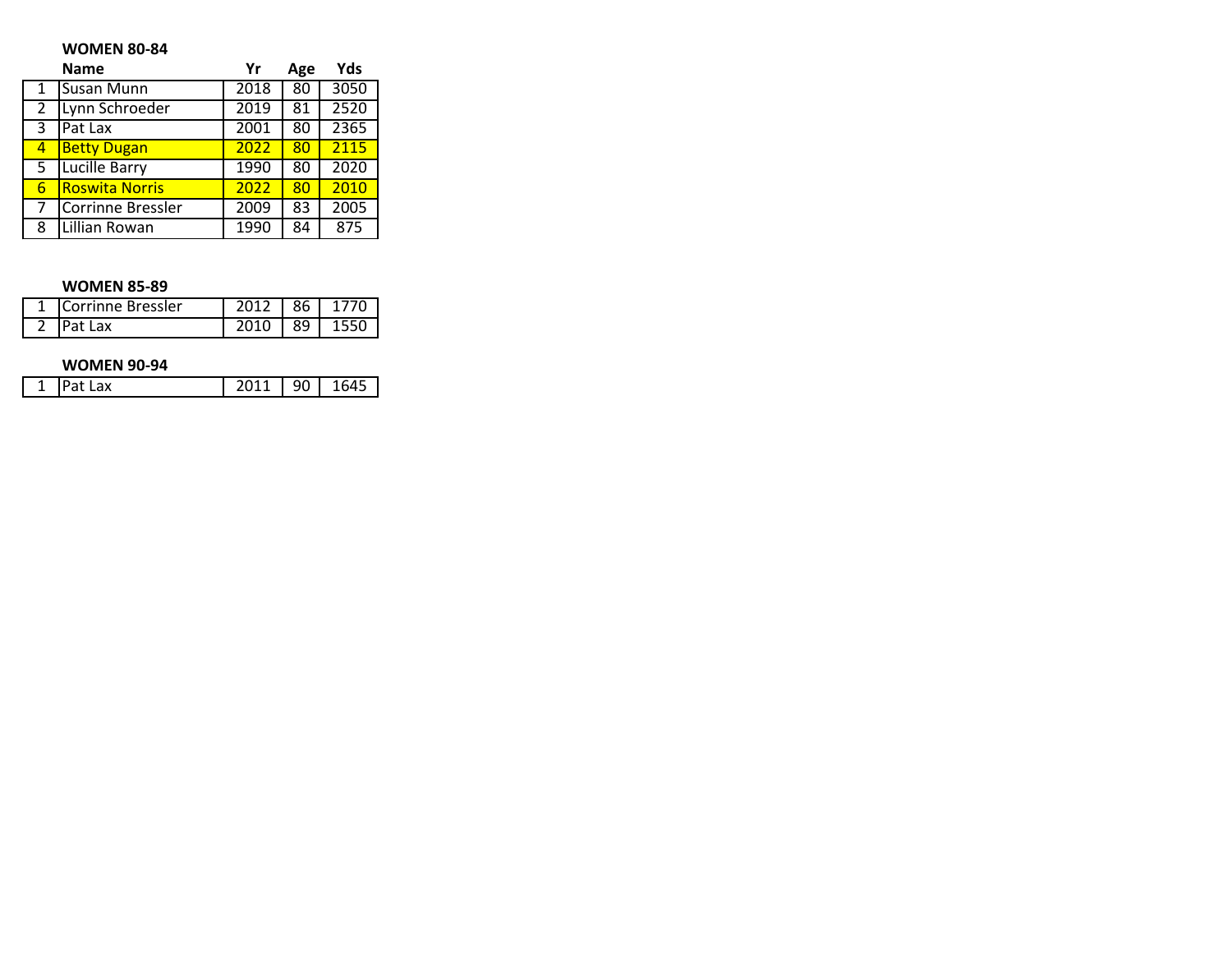## **WOMEN 80-84**

|   | <b>Name</b>           | Yr                | Age | Yds  |
|---|-----------------------|-------------------|-----|------|
|   | Susan Munn            | 2018              | 80  | 3050 |
| 2 | Lynn Schroeder        | $\overline{20}19$ | 81  | 2520 |
| 3 | Pat Lax               | 2001              | 80  | 2365 |
| 4 | <b>Betty Dugan</b>    | 2022              | 80  | 2115 |
| 5 | Lucille Barry         | 1990              | 80  | 2020 |
| 6 | <b>Roswita Norris</b> | 2022              | 80  | 2010 |
|   | Corrinne Bressler     | 2009              | 83  | 2005 |
| 8 | Lillian Rowan         | 1990              | 84  | 875  |

## **WOMEN 85-89**

| <b>Corrinne Bressler</b> |     |  |
|--------------------------|-----|--|
|                          | 89. |  |

## **WOMEN 90-94**

| — |  |  |  |
|---|--|--|--|
|---|--|--|--|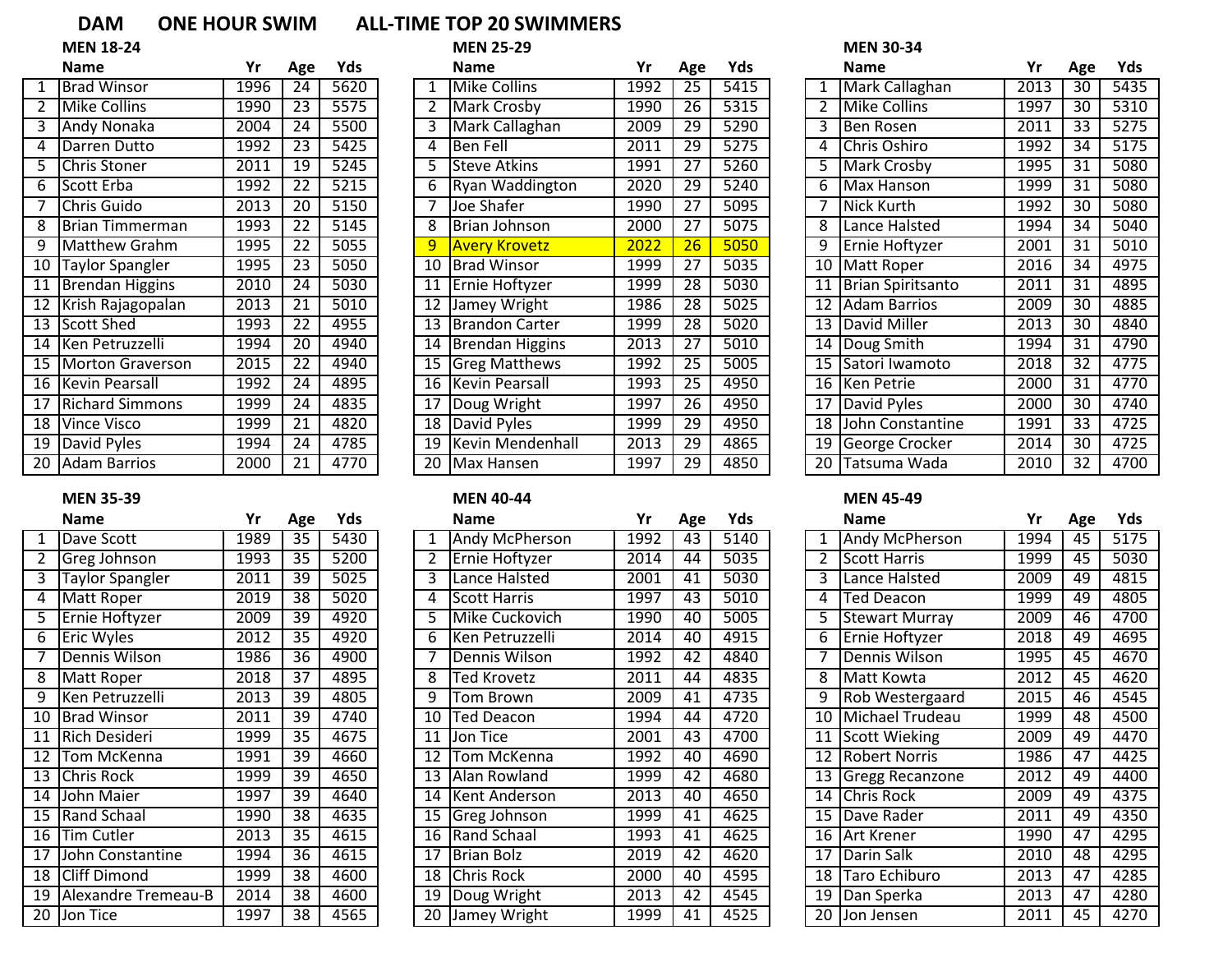# **DAM ONE HOUR SWIM ALL-TIME TOP 20 SWIMMERS**<br>MEN 25-29

| <b>MEN 25-2</b> |  |
|-----------------|--|
|-----------------|--|

|                 | <b>Name</b>             | Yr   | Age             | Yds               |
|-----------------|-------------------------|------|-----------------|-------------------|
| 1               | <b>Brad Winsor</b>      | 1996 | 24              | 5620              |
| $\overline{2}$  | <b>Mike Collins</b>     | 1990 | $\overline{23}$ | 5575              |
| $\overline{3}$  | <b>Andy Nonaka</b>      | 2004 | 24              | 5500              |
| 4               | Darren Dutto            | 1992 | 23              | 5425              |
| 5               | Chris Stoner            | 2011 | 19              | 5245              |
| 6               | Scott Erba              | 1992 | $\overline{22}$ | $\overline{5215}$ |
| 7               | Chris Guido             | 2013 | $\overline{20}$ | 5150              |
| 8               | Brian Timmerman         | 1993 | 22              | 5145              |
| 9               | <b>Matthew Grahm</b>    | 1995 | $\overline{22}$ | 5055              |
| $\overline{10}$ | Taylor Spangler         | 1995 | $\overline{23}$ | 5050              |
| $\overline{11}$ | <b>Brendan Higgins</b>  | 2010 | $\overline{24}$ | 5030              |
| 12              | Krish Rajagopalan       | 2013 | 21              | 5010              |
| 13              | <b>Scott Shed</b>       | 1993 | 22              | 4955              |
| 14              | Ken Petruzzelli         | 1994 | $\overline{20}$ | 4940              |
| $\overline{15}$ | <b>Morton Graverson</b> | 2015 | 22              | 4940              |
| $\overline{16}$ | <b>Kevin Pearsall</b>   | 1992 | 24              | 4895              |
| 17              | <b>Richard Simmons</b>  | 1999 | $\overline{24}$ | 4835              |
| $\overline{18}$ | <b>Vince Visco</b>      | 1999 | 21              | 4820              |
| $\overline{19}$ | David Pyles             | 1994 | $\overline{24}$ | 4785              |
| 20              | <b>Adam Barrios</b>     | 2000 | 21              | 4770              |

### **MEN 35-39 MEN 40-44 MEN 45-49**

|                 | Name                   | Yr   | Age             | Yds              |
|-----------------|------------------------|------|-----------------|------------------|
| 1               | Dave Scott             | 1989 | 35              | 5430             |
| $\overline{2}$  | Greg Johnson           | 1993 | 35              | 5200             |
| 3               | <b>Taylor Spangler</b> | 2011 | 39              | 5025             |
| 4               | Matt Roper             | 2019 | $\overline{38}$ | 502(             |
| 5               | Ernie Hoftyzer         | 2009 | 39              | 4920             |
| 6               | <b>Eric Wyles</b>      | 2012 | $\overline{35}$ | 4920             |
| 7               | <b>Dennis Wilson</b>   | 1986 | $\overline{36}$ | 4900             |
| 8               | Matt Roper             | 2018 | $\overline{37}$ | 4895             |
| 9               | Ken Petruzzelli        | 2013 | $\overline{39}$ | 4805             |
| 10              | <b>Brad Winsor</b>     | 2011 | 39              | $\overline{474}$ |
| $\overline{11}$ | <b>Rich Desideri</b>   | 1999 | $\overline{35}$ | 4675             |
| $\overline{12}$ | Tom McKenna            | 1991 | $\overline{39}$ | 4660             |
| $\overline{13}$ | Chris Rock             | 1999 | $\overline{39}$ | 4650             |
| 14              | John Maier             | 1997 | $\overline{39}$ | 4640             |
| 15              | Rand Schaal            | 1990 | 38              | 4635             |
| 16              | <b>Tim Cutler</b>      | 2013 | 35              | 4615             |
| $\overline{17}$ | John Constantine       | 1994 | 36              | 4615             |
| $\overline{18}$ | <b>Cliff Dimond</b>    | 1999 | 38              | 4600             |
| $\overline{19}$ | Alexandre Tremeau-B    | 2014 | $\overline{38}$ | 4600             |
| $\overline{20}$ | Jon Tice               | 1997 | 38              | 4565             |
|                 |                        |      |                 |                  |

|                 | <b>MEN 18-24</b>       |      |                 |      |                 | <b>MEN 25-29</b>       |      |                 |      |                 | <b>MEN 30-34</b>       |      |                 |      |
|-----------------|------------------------|------|-----------------|------|-----------------|------------------------|------|-----------------|------|-----------------|------------------------|------|-----------------|------|
|                 | <b>Name</b>            | Yr   | Age             | Yds  |                 | <b>Name</b>            | Yr   | Age             | Yds  |                 | <b>Name</b>            | Yr   | Age             | Yds  |
|                 | Brad Winsor            | 1996 | 24              | 5620 |                 | <b>Mike Collins</b>    | 1992 | 25              | 5415 |                 | Mark Callaghan         | 2013 | 30              | 5435 |
|                 | <b>Mike Collins</b>    | 1990 | 23              | 5575 |                 | Mark Crosby            | 1990 | 26              | 5315 |                 | Mike Collins           | 1997 | 30              | 5310 |
|                 | Andy Nonaka            | 2004 | 24              | 5500 | 3               | Mark Callaghan         | 2009 | 29              | 5290 |                 | <b>Ben Rosen</b>       | 2011 | 33              | 5275 |
| 4               | Darren Dutto           | 1992 | 23              | 5425 | 4               | <b>Ben Fell</b>        | 2011 | 29              | 5275 |                 | Chris Oshiro           | 1992 | 34              | 5175 |
|                 | Chris Stoner           | 2011 | 19              | 5245 |                 | <b>I</b> Steve Atkins  | 1991 | 27              | 5260 |                 | 5 Mark Crosby          | 1995 | 31              | 5080 |
| 6               | Scott Erba             | 1992 | 22              | 5215 | 6               | <b>Ryan Waddington</b> | 2020 | 29              | 5240 | 6.              | Max Hanson             | 1999 | 31              | 5080 |
|                 | Chris Guido            | 2013 | 20              | 5150 |                 | Joe Shafer             | 1990 | 27              | 5095 |                 | Nick Kurth             | 1992 | 30              | 5080 |
| 8               | <b>Brian Timmerman</b> | 1993 | 22              | 5145 |                 | Brian Johnson          | 2000 | 27              | 5075 |                 | Lance Halsted          | 1994 | 34              | 5040 |
| 9               | Matthew Grahm          | 1995 | 22              | 5055 | 9               | <b>Avery Krovetz</b>   | 2022 | 26              | 5050 |                 | 9 Ernie Hoftyzer       | 2001 | 31              | 5010 |
| $\overline{10}$ | Taylor Spangler        | 1995 | $\overline{23}$ | 5050 | 10              | <b>Brad Winsor</b>     | 1999 | $\overline{27}$ | 5035 | 10 <sup>1</sup> | <b>Matt Roper</b>      | 2016 | $\overline{34}$ | 4975 |
| 11              | Brendan Higgins        | 2010 | 24              | 5030 | 11              | <b>TErnie Hoftyzer</b> | 1999 | 28              | 5030 |                 | 11   Brian Spiritsanto | 2011 | 31              | 4895 |
| 12              | Krish Rajagopalan      | 2013 | 21              | 5010 | 12              | Jamey Wright           | 1986 | 28              | 5025 |                 | 12 Adam Barrios        | 2009 | 30              | 4885 |
|                 | 13 Scott Shed          | 1993 | 22              | 4955 | 13              | Brandon Carter         | 1999 | 28              | 5020 |                 | 13 David Miller        | 2013 | 30              | 4840 |
| 14              | Ken Petruzzelli        | 1994 | 20              | 4940 | 14              | Brendan Higgins        | 2013 | 27              | 5010 |                 | 14 Doug Smith          | 1994 | 31              | 4790 |
| $\overline{15}$ | Morton Graverson       | 2015 | 22              | 4940 | 15              | <b>Greg Matthews</b>   | 1992 | $\overline{25}$ | 5005 |                 | 15 Satori Iwamoto      | 2018 | 32              | 4775 |
|                 | 16 Kevin Pearsall      | 1992 | 24              | 4895 |                 | 16 Kevin Pearsall      | 1993 | $\overline{25}$ | 4950 |                 | 16 Ken Petrie          | 2000 | $\overline{31}$ | 4770 |
| 17              | <b>Richard Simmons</b> | 1999 | 24              | 4835 | 17              | Doug Wright            | 1997 | 26              | 4950 |                 | 17 David Pyles         | 2000 | 30              | 4740 |
| 18              | <b>Vince Visco</b>     | 1999 | 21              | 4820 | 18              | David Pyles            | 1999 | 29              | 4950 | 18 I            | John Constantine       | 1991 | $\overline{33}$ | 4725 |
| $\overline{19}$ | David Pyles            | 1994 | 24              | 4785 | 19              | Kevin Mendenhall       | 2013 | 29              | 4865 |                 | 19 George Crocker      | 2014 | 30              | 4725 |
| $\overline{20}$ | Adam Barrios           | 2000 | 21              | 4770 | $\overline{20}$ | Max Hansen             | 1997 | 29              | 4850 | 20 <sub>1</sub> | Tatsuma Wada           | 2010 | $\overline{32}$ | 4700 |

|                 | <b>Name</b>              | Yr   | Age | Yds  |    | <b>Name</b>         | Yr   | Age | Yds  |    | <b>Name</b>                | Yr   | Age | Yds  |
|-----------------|--------------------------|------|-----|------|----|---------------------|------|-----|------|----|----------------------------|------|-----|------|
|                 | Dave Scott               | 1989 | 35  | 5430 |    | Andy McPherson      | 1992 | 43  | 5140 |    | Andy McPherson             | 1994 | 45  | 5175 |
|                 | Greg Johnson             | 1993 | 35  | 5200 |    | Ernie Hoftyzer      | 2014 | 44  | 5035 |    | <b>Scott Harris</b>        | 1999 | 45  | 5030 |
| 3               | Taylor Spangler          | 2011 | 39  | 5025 | 3  | Lance Halsted       | 2001 | 41  | 5030 |    | Lance Halsted              | 2009 | 49  | 4815 |
| 4               | Matt Roper               | 2019 | 38  | 5020 |    | <b>Scott Harris</b> | 1997 | 43  | 5010 | 4  | Ted Deacon                 | 1999 | 49  | 4805 |
|                 | Ernie Hoftyzer           | 2009 | 39  | 4920 |    | Mike Cuckovich      | 1990 | 40  | 5005 |    | <b>Stewart Murray</b>      | 2009 | 46  | 4700 |
| 6               | <b>Eric Wyles</b>        | 2012 | 35  | 4920 | 6  | Ken Petruzzelli     | 2014 | 40  | 4915 | 6  | Ernie Hoftyzer             | 2018 | 49  | 4695 |
|                 | Dennis Wilson            | 1986 | 36  | 4900 |    | Dennis Wilson       | 1992 | 42  | 4840 |    | Dennis Wilson              | 1995 | 45  | 4670 |
| 8               | Matt Roper               | 2018 | 37  | 4895 | 8  | Ted Krovetz         | 2011 | 44  | 4835 |    | 8   Matt Kowta             | 2012 | 45  | 4620 |
| $\overline{9}$  | Ken Petruzzelli          | 2013 | 39  | 4805 | 9  | Tom Brown           | 2009 | 41  | 4735 |    | 9 Rob Westergaard          | 2015 | 46  | 4545 |
| 10              | <b>Brad Winsor</b>       | 2011 | 39  | 4740 | 10 | <b>Ted Deacon</b>   | 1994 | 44  | 4720 | 10 | Michael Trudeau            | 1999 | 48  | 4500 |
| 11              | Rich Desideri            | 1999 | 35  | 4675 | 11 | <b>Jon Tice</b>     | 2001 | 43  | 4700 |    | 11 Scott Wieking           | 2009 | 49  | 4470 |
| 12              | <b>ITom McKenna</b>      | 1991 | 39  | 4660 | 12 | Tom McKenna         | 1992 | 40  | 4690 |    | 12 Robert Norris           | 1986 | 47  | 4425 |
|                 | 13 Chris Rock            | 1999 | 39  | 4650 |    | Alan Rowland        | 1999 | 42  | 4680 |    | 13 Gregg Recanzone         | 2012 | 49  | 4400 |
| 14              | <b>John Maier</b>        | 1997 | 39  | 4640 | 14 | Kent Anderson       | 2013 | 40  | 4650 |    | $\overline{14}$ Chris Rock | 2009 | 49  | 4375 |
| 15              | Rand Schaal              | 1990 | 38  | 4635 | 15 | <b>Greg Johnson</b> | 1999 | 41  | 4625 |    | 15 IDave Rader             | 2011 | 49  | 4350 |
|                 | 16 Tim Cutler            | 2013 | 35  | 4615 |    | 16   Rand Schaal    | 1993 | 41  | 4625 |    | 16 JArt Krener             | 1990 | 47  | 4295 |
| $\overline{17}$ | <b>IJohn Constantine</b> | 1994 | 36  | 4615 | 17 | <b>IBrian Bolz</b>  | 2019 | 42  | 4620 |    | 17 Darin Salk              | 2010 | 48  | 4295 |
| 18              | <b>Cliff Dimond</b>      | 1999 | 38  | 4600 | 18 | <b>Chris Rock</b>   | 2000 | 40  | 4595 | 18 | Taro Echiburo              | 2013 | 47  | 4285 |
| 19              | Alexandre Tremeau-B      | 2014 | 38  | 4600 | 19 | Doug Wright         | 2013 | 42  | 4545 |    | 19 Dan Sperka              | 2013 | 47  | 4280 |
| 20              | Jon Tice                 | 1997 | 38  | 4565 | 20 | Jamey Wright        | 1999 | 41  | 4525 |    | 20 Jon Jensen              | 2011 | 45  | 4270 |

|    | <b>Name</b>              | Yr   | Age             | Yds  |
|----|--------------------------|------|-----------------|------|
| 1  | Mark Callaghan           | 2013 | $\overline{30}$ | 5435 |
| 2  | <b>Mike Collins</b>      | 1997 | $\overline{30}$ | 5310 |
| 3  | <b>Ben Rosen</b>         | 2011 | $\overline{33}$ | 5275 |
| 4  | Chris Oshiro             | 1992 | $\overline{34}$ | 5175 |
| 5  | Mark Crosby              | 1995 | $\overline{31}$ | 5080 |
| 6  | Max Hanson               | 1999 | $\overline{31}$ | 5080 |
| 7  | Nick Kurth               | 1992 | $\overline{30}$ | 5080 |
| 8  | Lance Halsted            | 1994 | $\overline{34}$ | 5040 |
| 9  | Ernie Hoftyzer           | 2001 | $\overline{31}$ | 5010 |
| 10 | Matt Roper               | 2016 | $\overline{34}$ | 4975 |
| 11 | <b>Brian Spiritsanto</b> | 2011 | $\overline{31}$ | 4895 |
| 12 | <b>Adam Barrios</b>      | 2009 | 30              | 4885 |
| 13 | David Miller             | 2013 | 30              | 4840 |
| 14 | Doug Smith               | 1994 | $\overline{31}$ | 4790 |
| 15 | Satori Iwamoto           | 2018 | 32              | 4775 |
| 16 | <b>Ken Petrie</b>        | 2000 | $\overline{31}$ | 4770 |
| 17 | David Pyles              | 2000 | $\overline{30}$ | 4740 |
| 18 | <b>John Constantine</b>  | 1991 | $\overline{33}$ | 4725 |
| 19 | George Crocker           | 2014 | 30              | 4725 |
| 20 | Tatsuma Wada             | 2010 | 32              | 4700 |

|                 | <b>Name</b>           | Yr   | Age             | Yds  |
|-----------------|-----------------------|------|-----------------|------|
| 1               | Andy McPherson        | 1994 | 45              | 5175 |
| $\overline{2}$  | <b>Scott Harris</b>   | 1999 | 45              | 5030 |
| 3               | Lance Halsted         | 2009 | 49              | 4815 |
| 4               | <b>Ted Deacon</b>     | 1999 | 49              | 4805 |
| 5               | <b>Stewart Murray</b> | 2009 | 46              | 4700 |
| 6               | Ernie Hoftyzer        | 2018 | 49              | 4695 |
| 7               | Dennis Wilson         | 1995 | $\overline{4}5$ | 4670 |
| 8               | Matt Kowta            | 2012 | 45              | 4620 |
| 9               | Rob Westergaard       | 2015 | 46              | 4545 |
| $\overline{10}$ | Michael Trudeau       | 1999 | 48              | 4500 |
| 11              | Scott Wieking         | 2009 | 49              | 4470 |
| $\overline{12}$ | <b>Robert Norris</b>  | 1986 | 47              | 4425 |
| 13              | Gregg Recanzone       | 2012 | 49              | 4400 |
| 14              | <b>Chris Rock</b>     | 2009 | 49              | 4375 |
| 15              | Dave Rader            | 2011 | 49              | 4350 |
| 16              | Art Krener            | 1990 | 47              | 4295 |
| 17              | Darin Salk            | 2010 | 48              | 4295 |
| $\overline{18}$ | <b>Taro Echiburo</b>  | 2013 | 47              | 4285 |
| 19              | Dan Sperka            | 2013 | 47              | 4280 |
| 20              | Jon Jensen            | 2011 | 45              | 4270 |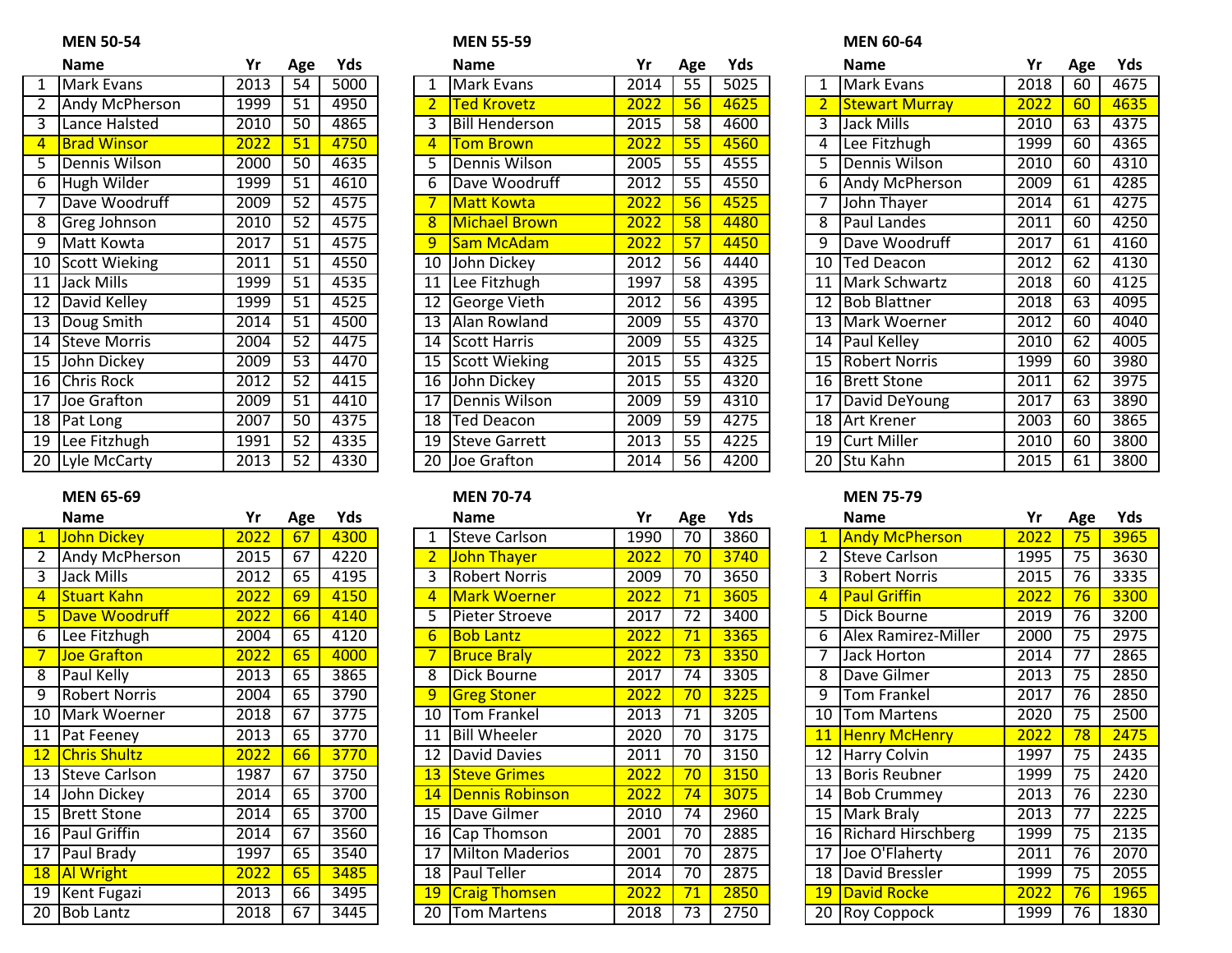|                 | Name                  | Yr                 | Age             | Yds  |
|-----------------|-----------------------|--------------------|-----------------|------|
| 1               | Mark Evans            | $\overline{20}$ 13 | 54              | 5000 |
| $\overline{2}$  | <b>Andy McPherson</b> | 1999               | $\overline{51}$ | 4950 |
| 3               | Lance Halsted         | 2010               | $\overline{50}$ | 4865 |
| 4               | <b>Brad Winsor</b>    | 2022               | $\overline{51}$ | 4750 |
| 5               | Dennis Wilson         | 2000               | 50              | 4635 |
| 6               | Hugh Wilder           | 1999               | 51              | 4610 |
| 7               | Dave Woodruff         | 2009               | 52              | 4575 |
| 8               | <b>Greg Johnson</b>   | 2010               | $\overline{52}$ | 4575 |
| 9               | Matt Kowta            | 2017               | $\overline{51}$ | 4575 |
| $\overline{10}$ | <b>Scott Wieking</b>  | 2011               | $\overline{51}$ | 4550 |
| $\overline{11}$ | <b>Jack Mills</b>     | 1999               | $\overline{51}$ | 4535 |
| $\overline{12}$ | David Kelley          | 1999               | $\overline{51}$ | 4525 |
| $\overline{13}$ | Doug Smith            | 2014               | 51              | 4500 |
| $\overline{14}$ | <b>Steve Morris</b>   | 2004               | $\overline{52}$ | 4475 |
| $\overline{15}$ | <b>John Dickey</b>    | 2009               | 53              | 4470 |
| 16              | <b>Chris Rock</b>     | 2012               | 52              | 4415 |
| $\overline{17}$ | Joe Grafton           | 2009               | $\overline{51}$ | 4410 |
| $\overline{18}$ | Pat Long              | 2007               | 50              | 4375 |
| 19              | Lee Fitzhugh          | 1991               | 52              | 4335 |
| 20              | Lyle McCarty          | 2013               | 52              | 4330 |

| Name                  | Yr               | Age             | Yds  |
|-----------------------|------------------|-----------------|------|
| John Dickey           | 2022             | 67              | 4300 |
| <b>Andy McPherson</b> | 2015             | 67              | 4220 |
| <b>Jack Mills</b>     | 2012             | 65              | 4195 |
| <b>Stuart Kahn</b>    | 2022             | 69              | 4150 |
| Dave Woodruff         | 2022             | 66              | 4140 |
| Lee Fitzhugh          | 2004             | 65              | 4120 |
| <b>Joe Grafton</b>    | 2022             | 65              | 4000 |
| Paul Kelly            | 2013             | 65              | 3865 |
| <b>Robert Norris</b>  | 2004             | 65              | 3790 |
| Mark Woerner          | 2018             | 67              | 3775 |
| Pat Feeney            | 2013             | 65              | 3770 |
| <b>Chris Shultz</b>   | 2022             | 66              | 3770 |
| <b>Steve Carlson</b>  | 1987             | 67              | 3750 |
| John Dickey           | 2014             | 65              | 3700 |
| <b>Brett Stone</b>    | 2014             | 65              | 3700 |
| <b>Paul Griffin</b>   | 2014             | 67              | 3560 |
| Paul Brady            | 1997             | 65              | 3540 |
| <b>Al Wright</b>      | $\frac{2022}{ }$ | 65              | 3485 |
| <b>Kent Fugazi</b>    | 2013             | $\overline{6}6$ | 3495 |
| <b>Bob Lantz</b>      | 2018             | 67              | 3445 |
|                       |                  |                 |      |

### **MEN 50-54 MEN 55-59 MEN 60-64**

|                 | <b>Name</b>        | Yr   | Age | Yds  |    | <b>Name</b>           | Yr   | Age             | Yds  |    | <b>Name</b>           | Yr   | Age | Yds  |
|-----------------|--------------------|------|-----|------|----|-----------------------|------|-----------------|------|----|-----------------------|------|-----|------|
|                 | Mark Evans         | 2013 | 54  | 5000 |    | Mark Evans            | 2014 | $\overline{55}$ | 5025 |    | Mark Evans            | 2018 | 60  | 4675 |
|                 | Andy McPherson     | 1999 | 51  | 4950 |    | <b>Ted Krovetz</b>    | 2022 | 56              | 4625 |    | <b>Stewart Murray</b> | 2022 | 60  | 4635 |
| اس              | Lance Halsted      | 2010 | 50  | 4865 |    | <b>Bill Henderson</b> | 2015 | 58              | 4600 | 3. | Jack Mills            | 2010 | 63  | 4375 |
| $\overline{4}$  | <b>Brad Winsor</b> | 2022 | 51  | 4750 |    | <b>Tom Brown</b>      | 2022 | 55              | 4560 |    | Lee Fitzhugh          | 1999 | 60  | 4365 |
| 5               | Dennis Wilson      | 2000 | 50  | 4635 |    | Dennis Wilson         | 2005 | 55              | 4555 |    | Dennis Wilson         | 2010 | 60  | 4310 |
| 6               | Hugh Wilder        | 1999 | 51  | 4610 | 6  | Dave Woodruff         | 2012 | 55              | 4550 | 6. | Andy McPherson        | 2009 | 61  | 4285 |
|                 | Dave Woodruff      | 2009 | 52  | 4575 |    | Matt Kowta            | 2022 | 56              | 4525 |    | John Thayer           | 2014 | 61  | 4275 |
| 8               | Greg Johnson       | 2010 | 52  | 4575 |    | Michael Brown         | 2022 | 58              | 4480 | 8. | Paul Landes           | 2011 | 60  | 4250 |
| 9               | Matt Kowta         | 2017 | 51  | 4575 |    | Sam McAdam            | 2022 | 57              | 4450 |    | Dave Woodruff         | 2017 | 61  | 4160 |
| 10              | Scott Wieking      | 2011 | 51  | 4550 | 10 | <b>John Dickey</b>    | 2012 | $\overline{56}$ | 4440 | 10 | <b>Ted Deacon</b>     | 2012 | 62  | 4130 |
| 11              | Jack Mills         | 1999 | 51  | 4535 | 11 | Lee Fitzhugh          | 1997 | 58              | 4395 |    | 11   Mark Schwartz    | 2018 | 60  | 4125 |
| $\overline{12}$ | David Kelley       | 1999 | 51  | 4525 | 12 | George Vieth          | 2012 | 56              | 4395 |    | 12 Bob Blattner       | 2018 | 63  | 4095 |
| $\overline{13}$ | Doug Smith         | 2014 | 51  | 4500 | 13 | Alan Rowland          | 2009 | 55              | 4370 |    | 13 Mark Woerner       | 2012 | 60  | 4040 |
|                 | 14 Steve Morris    | 2004 | 52  | 4475 | 14 | Scott Harris          | 2009 | 55              | 4325 |    | 14 Paul Kelley        | 2010 | 62  | 4005 |
| 15              | <b>John Dickey</b> | 2009 | 53  | 4470 | 15 | Scott Wieking         | 2015 | 55              | 4325 |    | 15 Robert Norris      | 1999 | 60  | 3980 |
|                 | 16 Chris Rock      | 2012 | 52  | 4415 | 16 | John Dickey           | 2015 | $\overline{55}$ | 4320 |    | 16 Brett Stone        | 2011 | 62  | 3975 |
| 17              | Joe Grafton        | 2009 | 51  | 4410 | 17 | Dennis Wilson         | 2009 | 59              | 4310 |    | 17 David DeYoung      | 2017 | 63  | 3890 |
| 18              | <b>Pat Long</b>    | 2007 | 50  | 4375 | 18 | Ted Deacon            | 2009 | 59              | 4275 |    | 18 Art Krener         | 2003 | 60  | 3865 |
| 19              | Lee Fitzhugh       | 1991 | 52  | 4335 | 19 | <b>Steve Garrett</b>  | 2013 | 55              | 4225 |    | 19 Curt Miller        | 2010 | 60  | 3800 |
|                 | 20 Lyle McCarty    | 2013 | 52  | 4330 |    | 20 Joe Grafton        | 2014 | 56              | 4200 |    | 20 Stu Kahn           | 2015 | 61  | 3800 |

|                     | <b>Name</b>           | Yr   | Age | Yds  |           | <b>Name</b>           | Yr   | Age | Yds  |                 | <b>Name</b>           | Yr   | Age | Yds  |
|---------------------|-----------------------|------|-----|------|-----------|-----------------------|------|-----|------|-----------------|-----------------------|------|-----|------|
|                     | <b>John Dickey</b>    | 2022 | 67  | 4300 |           | Steve Carlson         | 1990 | 70  | 3860 |                 | <b>Andy McPherson</b> | 2022 | 75  | 3965 |
|                     | Andy McPherson        | 2015 | 67  | 4220 |           | John Thayer           | 2022 | 70  | 3740 |                 | Steve Carlson         | 1995 | 75  | 3630 |
| $\overline{3}$      | Jack Mills            | 2012 | 65  | 4195 |           | <b>IRobert Norris</b> | 2009 | 70  | 3650 |                 | Robert Norris         | 2015 | 76  | 3335 |
| $\overline{4}$      | <b>Stuart Kahn</b>    | 2022 | 69  | 4150 |           | <b>Mark Woerner</b>   | 2022 | 71  | 3605 |                 | <b>Paul Griffin</b>   | 2022 | 76  | 3300 |
|                     | Dave Woodruff         | 2022 | 66  | 4140 |           | <b>Pieter Stroeve</b> | 2017 | 72  | 3400 | 5               | Dick Bourne           | 2019 | 76  | 3200 |
| 6                   | Lee Fitzhugh          | 2004 | 65  | 4120 |           | <b>Bob Lantz</b>      | 2022 | 71  | 3365 | 6               | Alex Ramirez-Miller   | 2000 | 75  | 2975 |
|                     | <b>Joe Grafton</b>    | 2022 | 65  | 4000 |           | <b>Bruce Braly</b>    | 2022 | 73  | 3350 |                 | Jack Horton           | 2014 | 77  | 2865 |
| $\overline{\infty}$ | <b>Paul Kelly</b>     | 2013 | 65  | 3865 | 8         | Dick Bourne           | 2017 | 74  | 3305 |                 | 8 Dave Gilmer         | 2013 | 75  | 2850 |
| 9                   | <b>IRobert Norris</b> | 2004 | 65  | 3790 | 9         | <b>Greg Stoner</b>    | 2022 | 70  | 3225 | 9               | <b>Tom Frankel</b>    | 2017 | 76  | 2850 |
| 10                  | <b>IMark Woerner</b>  | 2018 | 67  | 3775 | 10        | <b>Tom Frankel</b>    | 2013 | 71  | 3205 | 10 l            | <b>Tom Martens</b>    | 2020 | 75  | 2500 |
| 11                  | <b>Pat Feeney</b>     | 2013 | 65  | 3770 | 11        | <b>Bill Wheeler</b>   | 2020 | 70  | 3175 |                 | 11 Henry McHenry      | 2022 | 78  | 2475 |
| 12 <sup>2</sup>     | <b>Chris Shultz</b>   | 2022 | 66  | 3770 | 12        | David Davies          | 2011 | 70  | 3150 |                 | 12 Harry Colvin       | 1997 | 75  | 2435 |
|                     | 13 Steve Carlson      | 1987 | 67  | 3750 | 13        | <b>Steve Grimes</b>   | 2022 | 70  | 3150 |                 | 13 Boris Reubner      | 1999 | 75  | 2420 |
|                     | 14 John Dickey        | 2014 | 65  | 3700 | 14        | Dennis Robinson       | 2022 | 74  | 3075 |                 | 14 Bob Crummey        | 2013 | 76  | 2230 |
|                     | 15 Brett Stone        | 2014 | 65  | 3700 | 15        | <b>IDave Gilmer</b>   | 2010 | 74  | 2960 |                 | 15 Mark Braly         | 2013 | 77  | 2225 |
|                     | 16   Paul Griffin     | 2014 | 67  | 3560 |           | 16 Cap Thomson        | 2001 | 70  | 2885 |                 | 16 Richard Hirschberg | 1999 | 75  | 2135 |
| $\overline{17}$     | Paul Brady            | 1997 | 65  | 3540 | 17        | Milton Maderios       | 2001 | 70  | 2875 |                 | 17 Joe O'Flaherty     | 2011 | 76  | 2070 |
|                     | 18 Al Wright          | 2022 | 65  | 3485 |           | 18   Paul Teller      | 2014 | 70  | 2875 |                 | 18 David Bressler     | 1999 | 75  | 2055 |
| 19                  | Kent Fugazi           | 2013 | 66  | 3495 | <b>19</b> | <b>Craig Thomsen</b>  | 2022 | 71  | 2850 | 19 <sup>°</sup> | David Rocke           | 2022 | 76  | 1965 |
| 20                  | <b>Bob Lantz</b>      | 2018 | 67  | 3445 | 20        | <b>Tom Martens</b>    | 2018 | 73  | 2750 |                 | 20 Roy Coppock        | 1999 | 76  | 1830 |

| Name                 | Yr   | Age             | Yds  |    | <b>Name</b>           | Yr   | Age | Yds  |    | <b>Name</b>           | Yr   | Age | Yds  |
|----------------------|------|-----------------|------|----|-----------------------|------|-----|------|----|-----------------------|------|-----|------|
| Mark Evans           | 2013 | 54              | 5000 |    | <b>Mark Evans</b>     | 2014 | 55  | 5025 |    | <b>Mark Evans</b>     | 2018 | 60  | 4675 |
| Andy McPherson       | 1999 | 51              | 4950 |    | Ted Krovetz           | 2022 | 56  | 4625 |    | <b>Stewart Murray</b> | 2022 | 60  | 4635 |
| Lance Halsted        | 2010 | 50              | 4865 | 3  | <b>Bill Henderson</b> | 2015 | 58  | 4600 |    | Jack Mills            | 2010 | 63  | 4375 |
| <b>Brad Winsor</b>   | 2022 | 51              | 4750 |    | <b>Tom Brown</b>      | 2022 | 55  | 4560 |    | Lee Fitzhugh          | 1999 | 60  | 4365 |
| Dennis Wilson        | 2000 | 50              | 4635 | 5. | Dennis Wilson         | 2005 | 55  | 4555 |    | Dennis Wilson         | 2010 | 60  | 4310 |
| Hugh Wilder          | 1999 | 51              | 4610 | 6  | Dave Woodruff         | 2012 | 55  | 4550 | 6  | Andy McPherson        | 2009 | 61  | 4285 |
| Dave Woodruff        | 2009 | $\overline{52}$ | 4575 |    | <b>Matt Kowta</b>     | 2022 | 56  | 4525 |    | John Thayer           | 2014 | 61  | 4275 |
| Greg Johnson         | 2010 | 52              | 4575 | 8  | <b>Michael Brown</b>  | 2022 | 58  | 4480 |    | Paul Landes           | 2011 | 60  | 4250 |
| Matt Kowta           | 2017 | 51              | 4575 | 9  | Sam McAdam            | 2022 | 57  | 4450 | q  | Dave Woodruff         | 2017 | 61  | 4160 |
| <b>Scott Wieking</b> | 2011 | 51              | 4550 | 10 | John Dickey           | 2012 | 56  | 4440 | 10 | Ted Deacon            | 2012 | 62  | 4130 |
| Jack Mills           | 1999 | 51              | 4535 | 11 | Lee Fitzhugh          | 1997 | 58  | 4395 | 11 | Mark Schwartz         | 2018 | 60  | 4125 |
| David Kelley         | 1999 | 51              | 4525 | 12 | George Vieth          | 2012 | 56  | 4395 | 12 | <b>Bob Blattner</b>   | 2018 | 63  | 4095 |
| Doug Smith           | 2014 | 51              | 4500 | 13 | Alan Rowland          | 2009 | 55  | 4370 | 13 | Mark Woerner          | 2012 | 60  | 4040 |
| <b>Steve Morris</b>  | 2004 | $\overline{52}$ | 4475 | 14 | Scott Harris          | 2009 | 55  | 4325 |    | 14 Paul Kelley        | 2010 | 62  | 4005 |
| John Dickey          | 2009 | $\overline{53}$ | 4470 | 15 | Scott Wieking         | 2015 | 55  | 4325 | 15 | <b>Robert Norris</b>  | 1999 | 60  | 3980 |
| Chris Rock           | 2012 | 52              | 4415 | 16 | John Dickey           | 2015 | 55  | 4320 | 16 | <b>Brett Stone</b>    | 2011 | 62  | 3975 |
| Joe Grafton          | 2009 | 51              | 4410 | 17 | Dennis Wilson         | 2009 | 59  | 4310 | 17 | David DeYoung         | 2017 | 63  | 3890 |
| Pat Long             | 2007 | 50              | 4375 | 18 | <b>Ted Deacon</b>     | 2009 | 59  | 4275 | 18 | <b>Art Krener</b>     | 2003 | 60  | 3865 |
| Lee Fitzhugh         | 1991 | 52              | 4335 | 19 | <b>Steve Garrett</b>  | 2013 | 55  | 4225 | 19 | Curt Miller           | 2010 | 60  | 3800 |
| Lyle McCarty         | 2013 | 52              | 4330 | 20 | Joe Grafton           | 2014 | 56  | 4200 |    | 20 Stu Kahn           | 2015 | 61  | 3800 |

## **MEN 65-69 MEN 70-74 MEN 75-79**

|                 | <b>Name</b>               | Yr   | Age             | Yds  |
|-----------------|---------------------------|------|-----------------|------|
| $\mathbf{1}$    | <b>Andy McPherson</b>     | 2022 | 75              | 3965 |
| $\overline{2}$  | <b>Steve Carlson</b>      | 1995 | $\overline{75}$ | 3630 |
| 3               | <b>Robert Norris</b>      | 2015 | $\overline{76}$ | 3335 |
| $\overline{4}$  | <b>Paul Griffin</b>       | 2022 | 76              | 3300 |
| $\overline{5}$  | Dick Bourne               | 2019 | $\overline{76}$ | 3200 |
| 6               | Alex Ramirez-Miller       | 2000 | $\overline{75}$ | 2975 |
| 7               | <b>Jack Horton</b>        | 2014 | 77              | 2865 |
| 8               | Dave Gilmer               | 2013 | 75              | 2850 |
| 9               | <b>Tom Frankel</b>        | 2017 | $\overline{76}$ | 2850 |
| 10              | <b>Tom Martens</b>        | 2020 | $\overline{75}$ | 2500 |
| 11              | <b>Henry McHenry</b>      | 2022 | 78              | 2475 |
| 12              | <b>Harry Colvin</b>       | 1997 | 75              | 2435 |
| 13              | <b>Boris Reubner</b>      | 1999 | 75              | 2420 |
| 14              | <b>Bob Crummey</b>        | 2013 | $\overline{76}$ | 2230 |
| $\overline{15}$ | Mark Braly                | 2013 | $\overline{77}$ | 2225 |
| $\overline{16}$ | <b>Richard Hirschberg</b> | 1999 | $\overline{75}$ | 2135 |
| 17              | Joe O'Flaherty            | 2011 | $\overline{76}$ | 2070 |
| $\overline{18}$ | David Bressler            | 1999 | $\overline{75}$ | 2055 |
| 19              | <b>David Rocke</b>        | 2022 | $\overline{76}$ | 1965 |
| 20              | Roy Coppock               | 1999 | 76              | 1830 |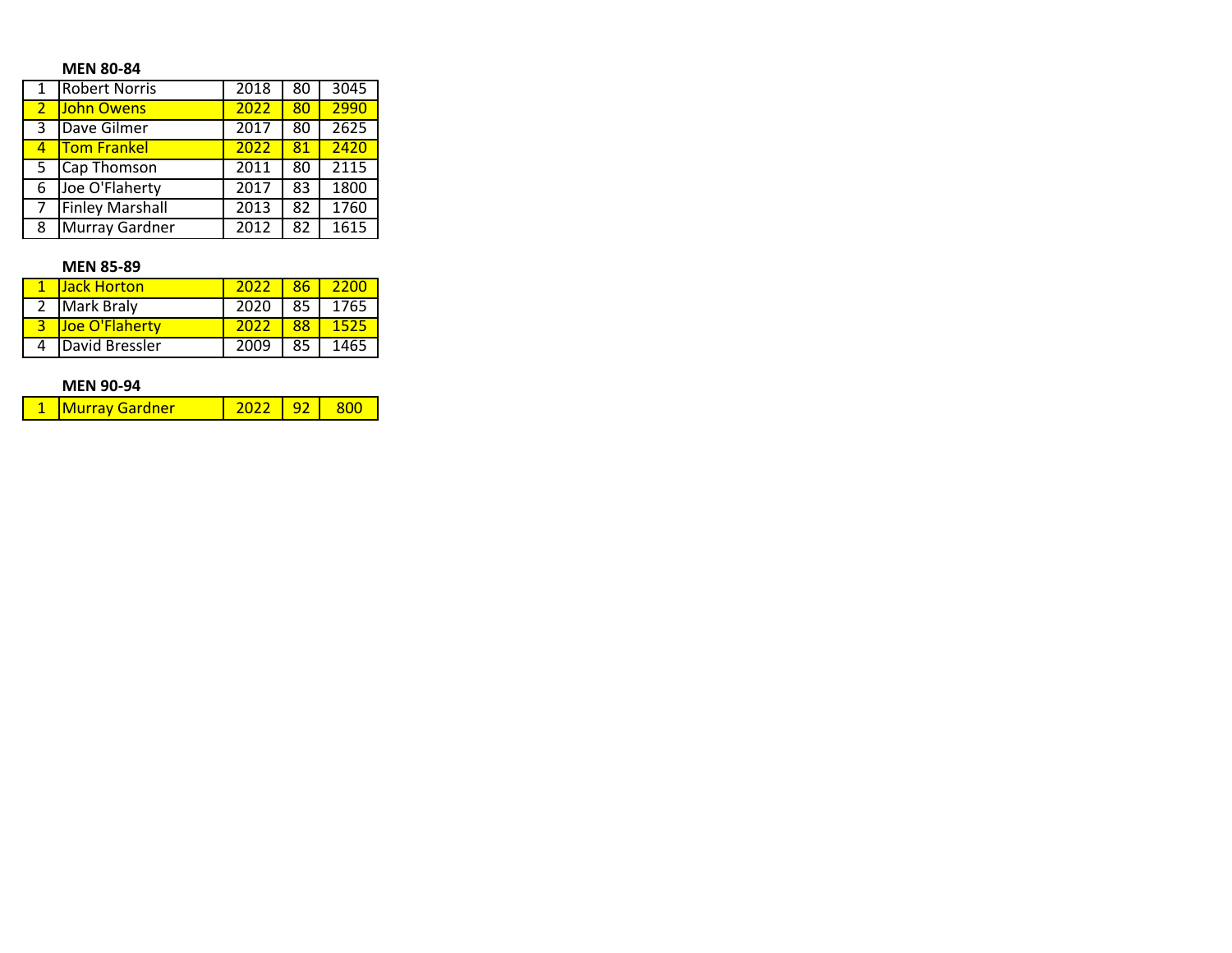## **MEN 80-84**

|                | <b>Robert Norris</b>   | 2018 | 80 | 3045 |
|----------------|------------------------|------|----|------|
| $\overline{2}$ | <b>John Owens</b>      | 2022 | 80 | 2990 |
| 3              | Dave Gilmer            | 2017 | 80 | 2625 |
| 4              | <b>Tom Frankel</b>     | 2022 | 81 | 2420 |
| 5              | Cap Thomson            | 2011 | 80 | 2115 |
| 6              | Joe O'Flaherty         | 2017 | 83 | 1800 |
|                | <b>Finley Marshall</b> | 2013 | 82 | 1760 |
| 8              | Murray Gardner         | 2012 | 82 | 1615 |

## **MEN 85-89**

| <b>Jack Horton</b> | $2022 -$ |    | 8612200   |
|--------------------|----------|----|-----------|
| 2 Mark Braly       | 2020     |    | 85   1765 |
| Joe O'Flaherty     | 2022     | 88 |           |
| David Bressler     | 2009     | 85 | 1465      |

## **MEN 90-94**

| 1 1 Murray Gardner |  | - 92 |  |
|--------------------|--|------|--|
|--------------------|--|------|--|